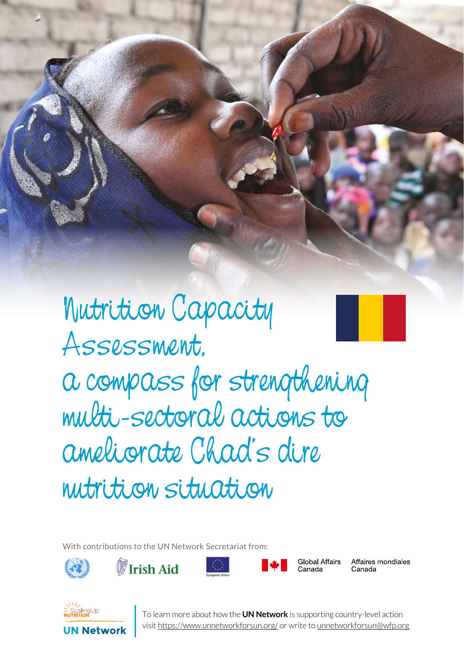Nutrition Capacity Assessment, a compass for strengthening multi-sectoral actions to ameliorate Chad's dire nutrition situation

SERIES 1 UN NETWORK TALES 1 UN NETWORK

With contributions to the UN Network Secretariat from:



**Irish Aid** 





**Global Affairs** Canada

Affaires mondiales Canada



**1** To learn more about how the **UN Network** is supporting country-level action visit https://www.unnetworkforsun.org/ or write to unnetworkforsun@wfp.org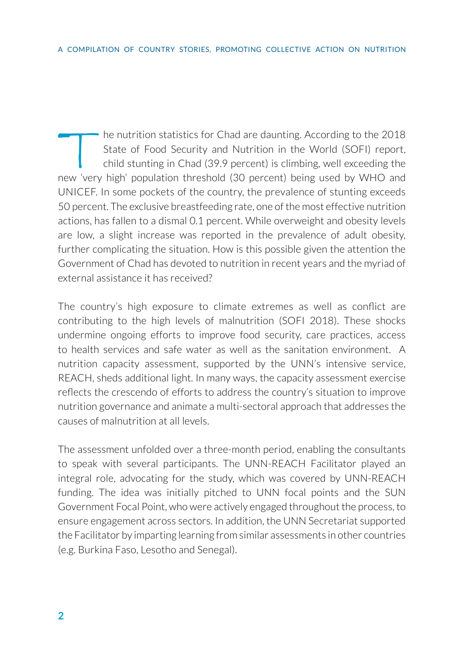The nutrition statistics for Chad are daunting. According to the 2018<br>State of Food Security and Nutrition in the World (SOFI) report,<br>child stunting in Chad (39.9 percent) is climbing, well exceeding the<br>new 'very high' n State of Food Security and Nutrition in the World (SOFI) report, child stunting in Chad (39.9 percent) is climbing, well exceeding the new 'very high' population threshold (30 percent) being used by WHO and UNICEF. In some pockets of the country, the prevalence of stunting exceeds 50 percent. The exclusive breastfeeding rate, one of the most effective nutrition actions, has fallen to a dismal 0.1 percent. While overweight and obesity levels are low, a slight increase was reported in the prevalence of adult obesity, further complicating the situation. How is this possible given the attention the Government of Chad has devoted to nutrition in recent years and the myriad of external assistance it has received?

The country's high exposure to climate extremes as well as conflict are contributing to the high levels of malnutrition (SOFI 2018). These shocks undermine ongoing efforts to improve food security, care practices, access to health services and safe water as well as the sanitation environment. A nutrition capacity assessment, supported by the UNN's intensive service, REACH, sheds additional light. In many ways, the capacity assessment exercise reflects the crescendo of efforts to address the country's situation to improve nutrition governance and animate a multi-sectoral approach that addresses the causes of malnutrition at all levels.

The assessment unfolded over a three-month period, enabling the consultants to speak with several participants. The UNN-REACH Facilitator played an integral role, advocating for the study, which was covered by UNN-REACH funding. The idea was initially pitched to UNN focal points and the SUN Government Focal Point, who were actively engaged throughout the process, to ensure engagement across sectors. In addition, the UNN Secretariat supported the Facilitator by imparting learning from similar assessments in other countries (e.g. Burkina Faso, Lesotho and Senegal).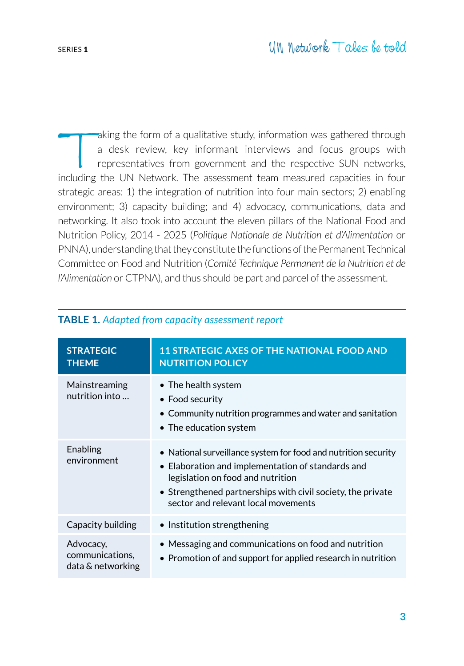Taking the form of a qualitative study, information was gathered through<br>a desk review, key informant interviews and focus groups with<br>representatives from government and the respective SUN networks,<br>neluding the UN Networ a desk review, key informant interviews and focus groups with representatives from government and the respective SUN networks, including the UN Network. The assessment team measured capacities in four strategic areas: 1) the integration of nutrition into four main sectors; 2) enabling environment; 3) capacity building; and 4) advocacy, communications, data and networking. It also took into account the eleven pillars of the National Food and Nutrition Policy, 2014 - 2025 (*Politique Nationale de Nutrition et d'Alimentation* or PNNA), understanding that they constitute the functions of the Permanent Technical Committee on Food and Nutrition (*Comité Technique Permanent de la Nutrition et de l'Alimentation* or CTPNA), and thus should be part and parcel of the assessment.

| <b>STRATEGIC</b><br><b>THEME</b>                  | <b>11 STRATEGIC AXES OF THE NATIONAL FOOD AND</b><br><b>NUTRITION POLICY</b>                                                                                                                                                                                           |
|---------------------------------------------------|------------------------------------------------------------------------------------------------------------------------------------------------------------------------------------------------------------------------------------------------------------------------|
| Mainstreaming<br>nutrition into                   | $\bullet$ The health system<br>• Food security<br>$\bullet$ Community nutrition programmes and water and sanitation<br>$\bullet$ The education system                                                                                                                  |
| Enabling<br>environment                           | • National surveillance system for food and nutrition security<br>• Elaboration and implementation of standards and<br>legislation on food and nutrition<br>$\bullet$ Strengthened partnerships with civil society, the private<br>sector and relevant local movements |
| Capacity building                                 | • Institution strengthening                                                                                                                                                                                                                                            |
| Advocacy,<br>communications,<br>data & networking | • Messaging and communications on food and nutrition<br>$\bullet$ Promotion of and support for applied research in nutrition                                                                                                                                           |

## **TABLE 1.** *Adapted from capacity assessment report*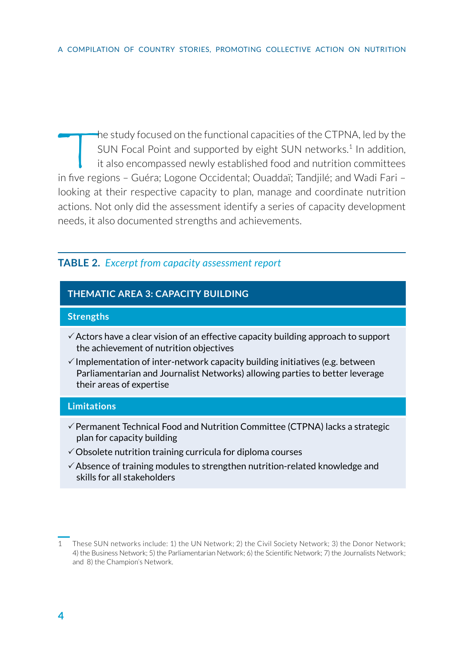The study focused on the functional capacities of the CTPNA, led by the<br>SUN Focal Point and supported by eight SUN networks.<sup>1</sup> In addition,<br>it also encompassed newly established food and nutrition committees<br>in five regio SUN Focal Point and supported by eight SUN networks.<sup>1</sup> In addition, it also encompassed newly established food and nutrition committees in five regions – Guéra; Logone Occidental; Ouaddaï; Tandjilé; and Wadi Fari – looking at their respective capacity to plan, manage and coordinate nutrition actions. Not only did the assessment identify a series of capacity development needs, it also documented strengths and achievements.

# **TABLE 2.** *Excerpt from capacity assessment report*

## **THEMATIC AREA 3: CAPACITY BUILDING**

#### **Strengths**

- $\checkmark$  Actors have a clear vision of an effective capacity building approach to support the achievement of nutrition objectives
- $\checkmark$  Implementation of inter-network capacity building initiatives (e.g. between Parliamentarian and Journalist Networks) allowing parties to better leverage their areas of expertise

#### **Limitations**

- $\checkmark$  Permanent Technical Food and Nutrition Committee (CTPNA) lacks a strategic plan for capacity building
- $\checkmark$  Obsolete nutrition training curricula for diploma courses
- $\checkmark$  Absence of training modules to strengthen nutrition-related knowledge and skills for all stakeholders

<sup>1</sup> These SUN networks include: 1) the UN Network; 2) the Civil Society Network; 3) the Donor Network; 4) the Business Network; 5) the Parliamentarian Network; 6) the Scientific Network; 7) the Journalists Network; and 8) the Champion's Network.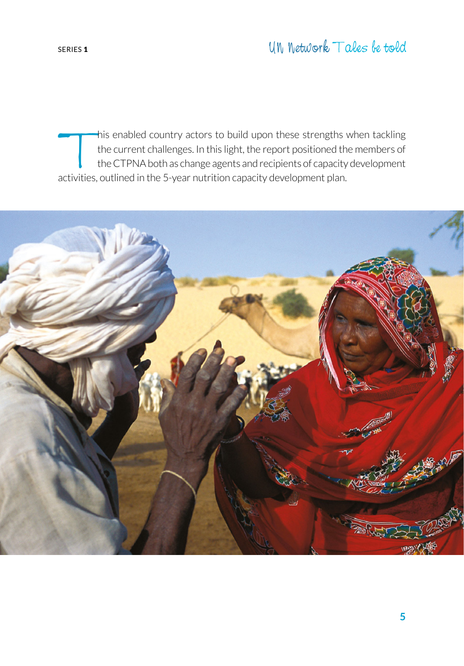This enabled country actors to build upon these strengths when tackling<br>the current challenges. In this light, the report positioned the members of<br>the CTPNA both as change agents and recipients of capacity development<br>act the current challenges. In this light, the report positioned the members of the CTPNA both as change agents and recipients of capacity development activities, outlined in the 5-year nutrition capacity development plan.